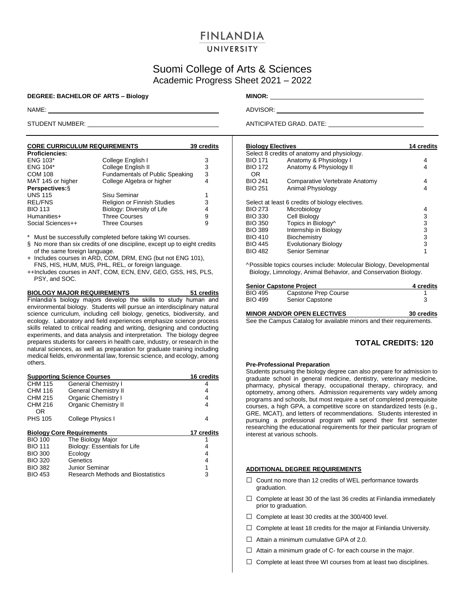# **FINLANDIA**

# UNIVERSITY

# Suomi College of Arts & Sciences Academic Progress Sheet 2021 – 2022

### **DEGREE: BACHELOR OF ARTS – Biology MINOR:**

| <b>CORE CURRICULUM REQUIREMENTS</b> |                                 | 39 credits |
|-------------------------------------|---------------------------------|------------|
| <b>Proficiencies:</b>               |                                 |            |
| <b>ENG 103*</b>                     | College English I               | 3          |
| <b>ENG 104*</b>                     | College English II              | 3          |
| <b>COM 108</b>                      | Fundamentals of Public Speaking | 3          |
| MAT 145 or higher                   | College Algebra or higher       | 4          |
| Perspectives: §                     |                                 |            |
| <b>UNS 115</b>                      | Sisu Seminar                    | 1          |
| <b>REL/FNS</b>                      | Religion or Finnish Studies     | 3          |
| <b>BIO 113</b>                      | Biology: Diversity of Life      | 4          |
| Humanities+                         | <b>Three Courses</b>            | 9          |
| Social Sciences++                   | <b>Three Courses</b>            | 9          |

\* Must be successfully completed before taking WI courses.

- § No more than six credits of one discipline, except up to eight credits of the same foreign language.
- + Includes courses in ARD, COM, DRM, ENG (but not ENG 101), FNS, HIS, HUM, MUS, PHL, REL, or foreign language.
- ++Includes courses in ANT, COM, ECN, ENV, GEO, GSS, HIS, PLS, PSY, and SOC.

**BIOLOGY MAJOR REQUIREMENTS 51 credits** Finlandia's biology majors develop the skills to study human and environmental biology. Students will pursue an interdisciplinary natural science curriculum, including cell biology, genetics, biodiversity, and ecology. Laboratory and field experiences emphasize science process skills related to critical reading and writing, designing and conducting experiments, and data analysis and interpretation. The biology degree prepares students for careers in health care, industry, or research in the natural sciences, as well as preparation for graduate training including medical fields, environmental law, forensic science, and ecology, among others.

|                | <b>Supporting Science Courses</b>  | 16 credits |
|----------------|------------------------------------|------------|
| <b>CHM 115</b> | General Chemistry I                | 4          |
| CHM 116        | <b>General Chemistry II</b>        | 4          |
| CHM 215        | <b>Organic Chemistry I</b>         | 4          |
| CHM 216        | <b>Organic Chemistry II</b>        | 4          |
| OR             |                                    |            |
| <b>PHS 105</b> | College Physics I                  | 4          |
|                |                                    |            |
|                |                                    |            |
|                | <b>Biology Core Requirements</b>   | 17 credits |
| <b>BIO 100</b> | The Biology Major                  |            |
| <b>BIO 111</b> | Biology: Essentials for Life       | 4          |
| <b>BIO 300</b> | Ecology                            | 4          |
| <b>BIO 320</b> | Genetics                           | 4          |
| <b>BIO 382</b> | Junior Seminar                     | 1          |
| <b>BIO 453</b> | Research Methods and Biostatistics | 3          |

NAME: ADVISOR: ADVISOR: ADVISOR: ADVISOR: ADVISOR: ADVISOR: ADVISOR: ADVISOR: ADVISOR: ADVISOR: ADVISOR: ADVISOR: ADVISOR: ADVISOR: ADVISOR: ADVISOR: ADVISOR: ADVISOR: ADVISOR: ADVISOR: ADVISOR: ADVISOR: ADVISOR: ADVISOR:

STUDENT NUMBER: <u>ANTICIPATED GRAD.</u> DATE:

| <b>Biology Electives</b>                        | <b>14 credits</b> |
|-------------------------------------------------|-------------------|
| Select 8 credits of anatomy and physiology.     |                   |
| Anatomy & Physiology I                          | 4                 |
| Anatomy & Physiology II                         | 4                 |
| Comparative Vertebrate Anatomy                  | 4                 |
| Animal Physiology                               | 4                 |
| Select at least 6 credits of biology electives. |                   |
| Microbiology                                    | 4                 |
| Cell Biology                                    | 3                 |
| Topics in Biology^                              | 3                 |
| Internship in Biology                           | 3                 |
| Biochemistry                                    | 3                 |
| <b>Evolutionary Biology</b>                     | 3                 |
| Senior Seminar                                  | 1                 |
|                                                 |                   |

^Possible topics courses include: Molecular Biology, Developmental Biology, Limnology, Animal Behavior, and Conservation Biology.

|                | <b>Senior Capstone Project</b> | 4 credits |
|----------------|--------------------------------|-----------|
| <b>BIO 495</b> | Capstone Prep Course           |           |
| <b>BIO 499</b> | Senior Capstone                |           |
|                |                                |           |

**MINOR AND/OR OPEN ELECTIVES 30 credits** See the Campus Catalog for available minors and their requirements.

## **TOTAL CREDITS: 120**

#### **Pre-Professional Preparation**

Students pursuing the biology degree can also prepare for admission to graduate school in general medicine, dentistry, veterinary medicine, pharmacy, physical therapy, occupational therapy, chiropracy, and optometry, among others. Admission requirements vary widely among programs and schools, but most require a set of completed prerequisite courses, a high GPA, a competitive score on standardized tests (e.g., GRE, MCAT), and letters of recommendations. Students interested in pursuing a professional program will spend their first semester researching the educational requirements for their particular program of interest at various schools.

#### **ADDITIONAL DEGREE REQUIREMENTS**

- □ Count no more than 12 credits of WEL performance towards graduation.
- $\Box$  Complete at least 30 of the last 36 credits at Finlandia immediately prior to graduation.
- $\Box$  Complete at least 30 credits at the 300/400 level.
- $\Box$  Complete at least 18 credits for the major at Finlandia University.
- $\Box$  Attain a minimum cumulative GPA of 2.0.
- $\Box$  Attain a minimum grade of C- for each course in the major.
- $\Box$  Complete at least three WI courses from at least two disciplines.